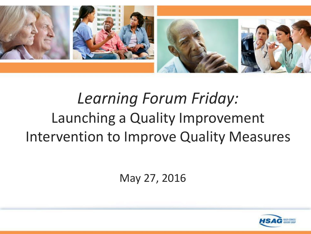

# *Learning Forum Friday:* Launching a Quality Improvement Intervention to Improve Quality Measures

May 27, 2016

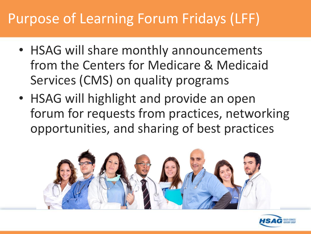# Purpose of Learning Forum Fridays (LFF)

- HSAG will share monthly announcements from the Centers for Medicare & Medicaid Services (CMS) on quality programs
- HSAG will highlight and provide an open forum for requests from practices, networking opportunities, and sharing of best practices



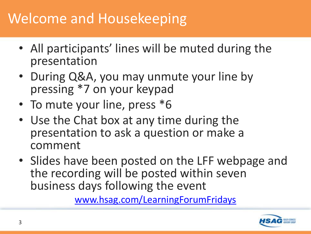### Welcome and Housekeeping

- All participants' lines will be muted during the presentation
- During Q&A, you may unmute your line by pressing \*7 on your keypad
- To mute your line, press  $*6$
- Use the Chat box at any time during the presentation to ask a question or make a comment
- Slides have been posted on the LFF webpage and the recording will be posted within seven business days following the event

[www.hsag.com/LearningForumFridays](http://www.hsag.com/LearningForumFridays)

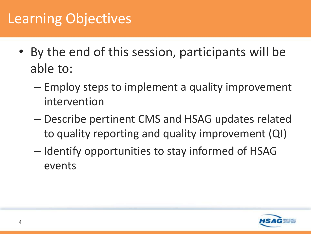# Learning Objectives

- By the end of this session, participants will be able to:
	- Employ steps to implement a quality improvement intervention
	- Describe pertinent CMS and HSAG updates related to quality reporting and quality improvement (QI)
	- Identify opportunities to stay informed of HSAG events

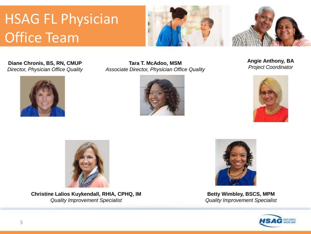# HSAG FL Physician Office Team



**Director, Physician Office Quality** 



**Diane Chronis, BS, RN, CMUP** *Property Late T. McAdoo, MSM Project Coordinator Associate Director, Physician Office Quality <b>Angle Anthony, BA <i>Project Coordinator Project Coordinator Project Coordinator Proje* 







Christine Lalios Kuykendall, RHIA, CPHQ, IM **Betty Wimbley, BSCS, MPM** *Quality Improvement Specialist Quality Improvement Specialist* 



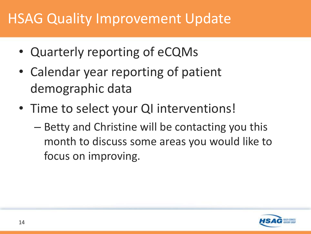# HSAG Quality Improvement Update

- Quarterly reporting of eCQMs
- Calendar year reporting of patient demographic data
- Time to select your QI interventions!
	- Betty and Christine will be contacting you this month to discuss some areas you would like to focus on improving.

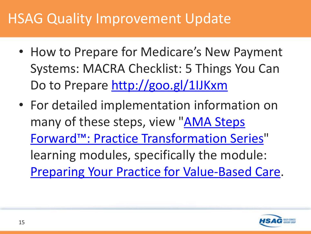# HSAG Quality Improvement Update

- How to Prepare for Medicare's New Payment Systems: MACRA Checklist: 5 Things You Can Do to Prepare<http://goo.gl/1IJKxm>
- For detailed implementation information on many of these steps, view "AMA Steps [Forward™: Practice Transformation Series](https://www.stepsforward.org/)" learning modules, specifically the module: [Preparing Your Practice for Value-Based Care.](https://www.stepsforward.org/modules/value-based-care)

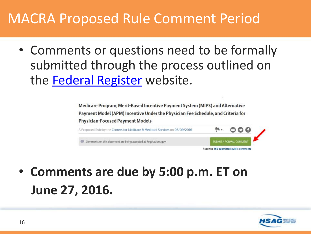### MACRA Proposed Rule Comment Period

• Comments or questions need to be formally submitted through the process outlined on the **[Federal Register](http://links.govdelivery.com/track?type=click&enid=ZWFzPTEmbXNpZD0mYXVpZD0mbWFpbGluZ2lkPTIwMTYwNTE2LjU5MDgzNjIxJm1lc3NhZ2VpZD1NREItUFJELUJVTC0yMDE2MDUxNi41OTA4MzYyMSZkYXRhYmFzZWlkPTEwMDEmc2VyaWFsPTE3NzAzNzYxJmVtYWlsaWQ9dG1jYWRvb0Boc2FnLmNvbSZ1c2VyaWQ9dG1jYWRvb0Boc2FnLmNvbSZ0YXJnZXRpZD0mZmw9JmV4dHJhPU11bHRpdmFyaWF0ZUlkPSYmJg==&&&104&&&https://www.federalregister.gov/articles/2016/05/09/2016-10032/medicare-program-merit-based-incentive-payment-system-mips-and-alternative-payment-model-apm)** website.

> Medicare Program; Merit-Based Incentive Payment System (MIPS) and Alternative Payment Model (APM) Incentive Under the Physician Fee Schedule, and Criteria for **Physician-Focused Payment Models**



• **Comments are due by 5:00 p.m. ET on June 27, 2016.** 

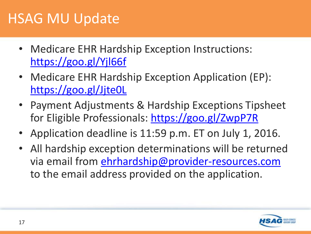#### HSAG MU Update

- Medicare EHR Hardship Exception Instructions: <https://goo.gl/Yjl66f>
- Medicare EHR Hardship Exception Application (EP): <https://goo.gl/Jjte0L>
- • Payment Adjustments & Hardship Exceptions Tipsheet for Eligible Professionals:<https://goo.gl/ZwpP7R>
- • Application deadline is 11:59 p.m. ET on July 1, 2016.
- All hardship exception determinations will be returned via email from [ehrhardship@provider-resources.com](mailto:ehrhardship@provider-resources.com) to the email address provided on the application.

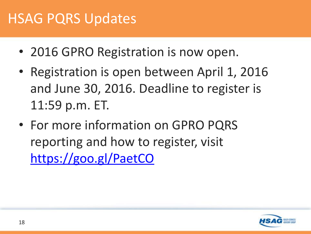#### HSAG PQRS Updates

- 2016 GPRO Registration is now open.
- • Registration is open between April 1, 2016 and June 30, 2016. Deadline to register is 11:59 p.m. ET.
- For more information on GPRO PQRS reporting and how to register, visit <https://goo.gl/PaetCO>

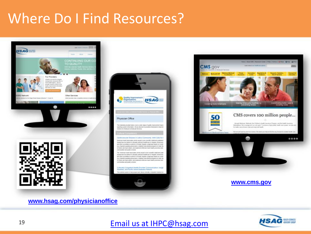### Where Do I Find Resources?







**[www.hsag.com/physicianoffice](http://www.hsag.com/physicianoffice)** 



#### 19 **[Email us at IHPC@hsag.com](mailto:IHPC@hsag.com)**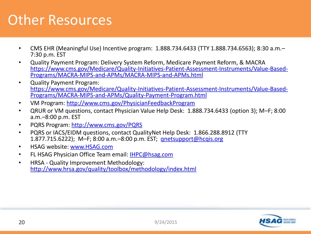#### Other Resources

- CMS EHR (Meaningful Use) Incentive program: 1.888.734.6433 (TTY 1.888.734.6563); 8:30 a.m.-7:30 p.m. EST
- • Quality Payment Program: Delivery System Reform, Medicare Payment Reform, & MACRA [https://www.cms.gov/Medicare/Quality-Initiatives-Patient-Assessment-Instruments/Value-Based-](https://www.cms.gov/Medicare/Quality-Initiatives-Patient-Assessment-Instruments/Value-Based-Programs/MACRA-MIPS-and-APMs/MACRA-MIPS-and-APMs.html) Programs/MACRA-MIPS-and-APMs/MACRA-MIPS-and-APMs.html
- • Quality Payment Program: [https://www.cms.gov/Medicare/Quality-Initiatives-Patient-Assessment-Instruments/Value-Based-](https://www.cms.gov/Medicare/Quality-Initiatives-Patient-Assessment-Instruments/Value-Based-Programs/MACRA-MIPS-and-APMs/Quality-Payment-Program.html) Programs/MACRA-MIPS-and-APMs/Quality-Payment-Program.html
- VM Program: http://www.cms.gov/PhysicianFeedbackProgram
- • QRUR or VM questions, contact Physician Value Help Desk: 1.888.734.6433 (option 3); M–F; 8:00 a.m.–8:00 p.m. EST
- • PQRS Program:<http://www.cms.gov/PQRS>
- PQRS or IACS/EIDM questions, contact QualityNet Help Desk: 1.866.288.8912 (TTY 1.877.715.6222); M–F; 8:00 a.m.–8:00 p.m. EST; [qnetsupport@hcqis.org](mailto:qnetsupport@hcqis.org)
- • HSAG website: [www.HSAG.com](http://www.hsag.com/)
- FL HSAG Physician Office Team email: IHPC@hsag.com
- • HRSA Quality Improvement Methodology: <http://www.hrsa.gov/quality/toolbox/methodology/index.html>

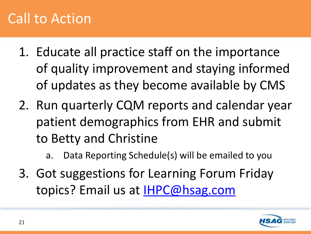# Call to Action

- 1. Educate all practice staff on the importance of quality improvement and staying informed of updates as they become available by CMS
- 2. Run quarterly CQM reports and calendar year patient demographics from EHR and submit to Betty and Christine
	- a. Data Reporting Schedule(s) will be emailed to you
- 3. Got suggestions for Learning Forum Friday topics? Email us at **IHPC@hsag.com**

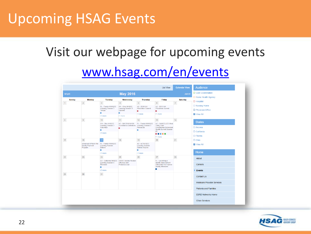### Upcoming HSAG Events

# Visit our webpage for upcoming events [www.hsag.com/en/events](http://www.hsag.com/en/events/)

|                                                                                                  |                                                           |                                                                     |                                                              | <b>List View</b>                                                                                                                    | <b>Calendar View</b>       | Audience                                  |
|--------------------------------------------------------------------------------------------------|-----------------------------------------------------------|---------------------------------------------------------------------|--------------------------------------------------------------|-------------------------------------------------------------------------------------------------------------------------------------|----------------------------|-------------------------------------------|
| <b>May 2016</b><br>4 April                                                                       |                                                           |                                                                     |                                                              |                                                                                                                                     | June $\blacktriangleright$ | □ Care Coordination                       |
| <b>Sunday</b><br>Monday                                                                          | <b>Tuesday</b>                                            | Wednesday                                                           | <b>Thursday</b>                                              | Friday                                                                                                                              | Saturday                   | O Home Health Agency                      |
| $\overline{2}$<br>$\mathbf 1$                                                                    | $\mathbf{3}^-$                                            | $\overline{4}$                                                      | $5\,$                                                        | 6 <sup>1</sup>                                                                                                                      | $\tau$                     | $\Box$ Hospital                           |
|                                                                                                  | FL - Florida NNHQCC<br>Learning Session 3:<br>Tampa       | OH - Ohio NHQCC<br>Learning Session 3:<br>Sylvania                  | <b>AZ - 2016 HAI</b><br><b>Prevention Summit</b><br>п        | AZ - 2016 HAI<br><b>Prevention Summit</b><br>п                                                                                      |                            | $\Box$ Nursing Home<br>O Physician Office |
|                                                                                                  | п                                                         | ٠<br>+1 more                                                        | $+1$ more                                                    | +1 more                                                                                                                             |                            | View All                                  |
|                                                                                                  | +1 more                                                   |                                                                     |                                                              |                                                                                                                                     |                            |                                           |
| 8 <sup>1</sup><br>9                                                                              | 10 <sub>1</sub>                                           | 11                                                                  | 12                                                           | 13<br>AZ - CANCELLED West<br><b>Valley Care</b><br><b>Coordination Behavioral</b><br><b>Health Summit Session</b><br>#3<br><b>.</b> | 14                         | <b>States</b>                             |
|                                                                                                  | OH - Ohio NHOCC<br>Learning Session 3:<br>Columbus        | AZ - QIN 2016 NHSN<br><b>Surveillance Definitions</b><br>٠          | FL - Florida NNHQCC<br>Learning Session 3:<br>Pensacola<br>٠ |                                                                                                                                     |                            | $\Box$ Arizona                            |
|                                                                                                  | ш                                                         |                                                                     |                                                              |                                                                                                                                     |                            | $\Box$ California                         |
|                                                                                                  | $+2$ more                                                 |                                                                     |                                                              |                                                                                                                                     |                            |                                           |
|                                                                                                  |                                                           |                                                                     |                                                              | $+1$ more                                                                                                                           |                            | $\Box$ Florida                            |
| 15 <sub>15</sub><br>16 <sup>°</sup><br>Advanced APMs in the<br><b>Quality Payment</b><br>Program | 17 <sub>1</sub>                                           | 18                                                                  | 19                                                           | 20                                                                                                                                  | 21                         | $\Box$ Ohio                               |
|                                                                                                  | FL - Florida NNHQCC<br>Learning Session:<br>Deland        |                                                                     | AZ - AZ NHQCC<br>Learning Session:<br>Central Arizona        |                                                                                                                                     |                            | <b>Z</b> View All                         |
|                                                                                                  | п                                                         |                                                                     | п                                                            |                                                                                                                                     |                            | Home                                      |
|                                                                                                  | $+1$ more                                                 |                                                                     | $+1$ more                                                    |                                                                                                                                     |                            |                                           |
| 22<br>23                                                                                         | 24                                                        | 25<br><b>OASIS Vaccine Review:</b><br>Influenza and<br>Pneumoccocal | 26                                                           | 27                                                                                                                                  | 28                         | About                                     |
|                                                                                                  | CA - California NHQCC<br>Learning Session 3:<br>Riverside |                                                                     |                                                              | FL - Launching a<br>Quality Improvement<br>Intervention to Improve<br>Quality Measures<br>п                                         |                            | Careers                                   |
|                                                                                                  | ш<br>$+2$ more                                            |                                                                     |                                                              |                                                                                                                                     |                            |                                           |
|                                                                                                  |                                                           |                                                                     |                                                              |                                                                                                                                     |                            | <b>Events</b>                             |
| 30 <sub>2</sub><br>29                                                                            | 31                                                        |                                                                     |                                                              |                                                                                                                                     |                            | Contact Us                                |
|                                                                                                  |                                                           |                                                                     |                                                              |                                                                                                                                     |                            | <b>Medicare Provider Services</b>         |
|                                                                                                  |                                                           |                                                                     |                                                              |                                                                                                                                     |                            | <b>Patients and Families</b>              |
|                                                                                                  |                                                           |                                                                     |                                                              |                                                                                                                                     |                            | <b>ESRD Networks Home</b>                 |
|                                                                                                  |                                                           |                                                                     |                                                              |                                                                                                                                     |                            | <b>Other Services</b>                     |

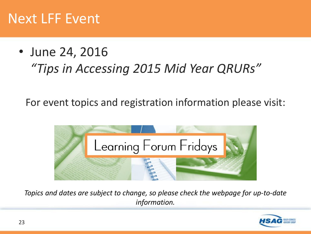#### Next LFF Event

#### • June 24, 2016 *"Tips in Accessing 2015 Mid Year QRURs"*

For event topics and registration information please visit:



*Topics and dates are subject to change, so please check the webpage for up-to-date information.*

![](_page_22_Picture_5.jpeg)